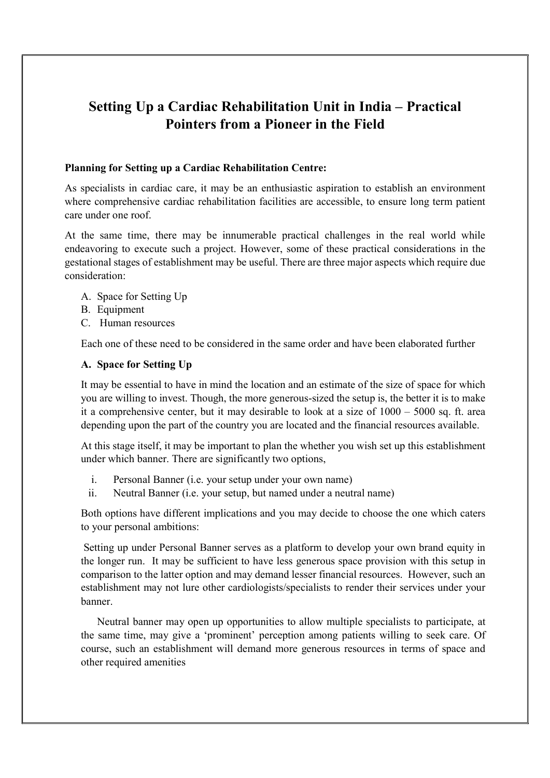# Setting Up a Cardiac Rehabilitation Unit in India – Practical Pointers from a Pioneer in the Field

### Planning for Setting up a Cardiac Rehabilitation Centre:

As specialists in cardiac care, it may be an enthusiastic aspiration to establish an environment where comprehensive cardiac rehabilitation facilities are accessible, to ensure long term patient care under one roof.

At the same time, there may be innumerable practical challenges in the real world while endeavoring to execute such a project. However, some of these practical considerations in the gestational stages of establishment may be useful. There are three major aspects which require due consideration:

- A. Space for Setting Up
- B. Equipment
- C. Human resources

Each one of these need to be considered in the same order and have been elaborated further

### A. Space for Setting Up

It may be essential to have in mind the location and an estimate of the size of space for which you are willing to invest. Though, the more generous-sized the setup is, the better it is to make it a comprehensive center, but it may desirable to look at a size of  $1000 - 5000$  sq. ft. area depending upon the part of the country you are located and the financial resources available.

At this stage itself, it may be important to plan the whether you wish set up this establishment under which banner. There are significantly two options,

- i. Personal Banner (i.e. your setup under your own name)
- ii. Neutral Banner (i.e. your setup, but named under a neutral name)

Both options have different implications and you may decide to choose the one which caters to your personal ambitions:

 Setting up under Personal Banner serves as a platform to develop your own brand equity in the longer run. It may be sufficient to have less generous space provision with this setup in comparison to the latter option and may demand lesser financial resources. However, such an establishment may not lure other cardiologists/specialists to render their services under your banner.

Neutral banner may open up opportunities to allow multiple specialists to participate, at the same time, may give a 'prominent' perception among patients willing to seek care. Of course, such an establishment will demand more generous resources in terms of space and other required amenities